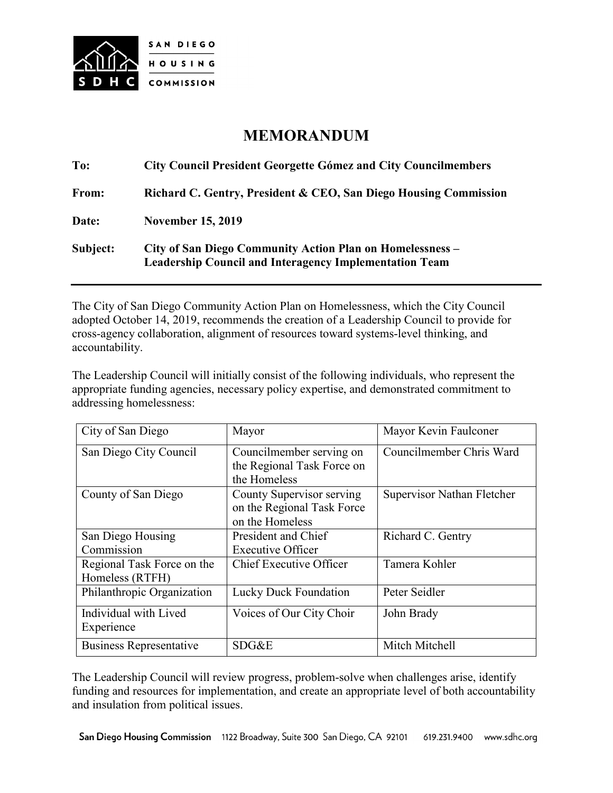

## **MEMORANDUM**

| To:      | <b>City Council President Georgette Gómez and City Councilmembers</b>                                                      |  |
|----------|----------------------------------------------------------------------------------------------------------------------------|--|
| From:    | Richard C. Gentry, President & CEO, San Diego Housing Commission                                                           |  |
| Date:    | <b>November 15, 2019</b>                                                                                                   |  |
| Subject: | City of San Diego Community Action Plan on Homelessness –<br><b>Leadership Council and Interagency Implementation Team</b> |  |

The City of San Diego Community Action Plan on Homelessness, which the City Council adopted October 14, 2019, recommends the creation of a Leadership Council to provide for cross-agency collaboration, alignment of resources toward systems-level thinking, and accountability.

The Leadership Council will initially consist of the following individuals, who represent the appropriate funding agencies, necessary policy expertise, and demonstrated commitment to addressing homelessness:

| City of San Diego                             | Mayor                                                                      | Mayor Kevin Faulconer      |
|-----------------------------------------------|----------------------------------------------------------------------------|----------------------------|
| San Diego City Council                        | Councilmember serving on<br>the Regional Task Force on                     | Councilmember Chris Ward   |
|                                               | the Homeless                                                               |                            |
| County of San Diego                           | County Supervisor serving<br>on the Regional Task Force<br>on the Homeless | Supervisor Nathan Fletcher |
| San Diego Housing                             | President and Chief                                                        | Richard C. Gentry          |
| Commission                                    | <b>Executive Officer</b>                                                   |                            |
| Regional Task Force on the<br>Homeless (RTFH) | Chief Executive Officer                                                    | Tamera Kohler              |
| Philanthropic Organization                    | <b>Lucky Duck Foundation</b>                                               | Peter Seidler              |
| Individual with Lived<br>Experience           | Voices of Our City Choir                                                   | John Brady                 |
| <b>Business Representative</b>                | SDG&E                                                                      | Mitch Mitchell             |

The Leadership Council will review progress, problem-solve when challenges arise, identify funding and resources for implementation, and create an appropriate level of both accountability and insulation from political issues.

San Diego Housing Commission 1122 Broadway, Suite 300 San Diego, CA 92101 619.231.9400 www.sdhc.org